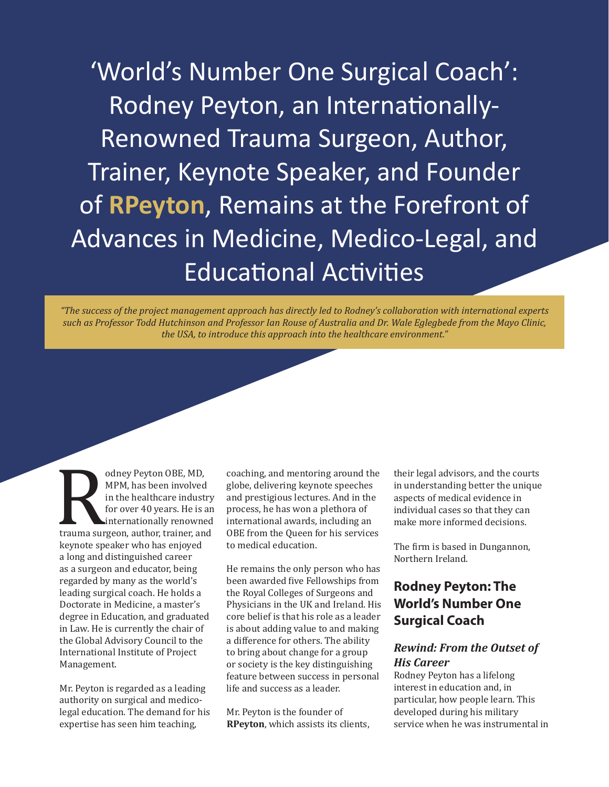'World's Number One Surgical Coach': Rodney Peyton, an Internationally-Renowned Trauma Surgeon, Author, Trainer, Keynote Speaker, and Founder of **RPeyton**, Remains at the Forefront of Advances in Medicine, Medico-Legal, and Educational Activities

*"The success of the project management approach has directly led to Rodney's collaboration with international experts such as Professor Todd Hutchinson and Professor Ian Rouse of Australia and Dr. Wale Eglegbede from the Mayo Clinic, the USA, to introduce this approach into the healthcare environment."*

MPM, has been involved<br>in the healthcare indust<br>for over 40 years. He is a<br>internationally renowned<br>trauma surgeon, author, trainer, an<br>keynote speaker who has enjoyed<br>a long and distinguished career MPM, has been involved in the healthcare industry for over 40 years. He is an internationally renowned trauma surgeon, author, trainer, and a long and distinguished career as a surgeon and educator, being regarded by many as the world's leading surgical coach. He holds a Doctorate in Medicine, a master's degree in Education, and graduated in Law. He is currently the chair of the Global Advisory Council to the International Institute of Project Management.

Mr. Peyton is regarded as a leading authority on surgical and medicolegal education. The demand for his expertise has seen him teaching,

coaching, and mentoring around the globe, delivering keynote speeches and prestigious lectures. And in the process, he has won a plethora of international awards, including an OBE from the Queen for his services to medical education.

He remains the only person who has been awarded five Fellowships from the Royal Colleges of Surgeons and Physicians in the UK and Ireland. His core belief is that his role as a leader is about adding value to and making a difference for others. The ability to bring about change for a group or society is the key distinguishing feature between success in personal life and success as a leader.

Mr. Peyton is the founder of **RPeyton**, which assists its clients, their legal advisors, and the courts in understanding better the unique aspects of medical evidence in individual cases so that they can make more informed decisions.

The firm is based in Dungannon, Northern Ireland.

### **Rodney Peyton: The World's Number One Surgical Coach**

### *Rewind: From the Outset of His Career*

Rodney Peyton has a lifelong interest in education and, in particular, how people learn. This developed during his military service when he was instrumental in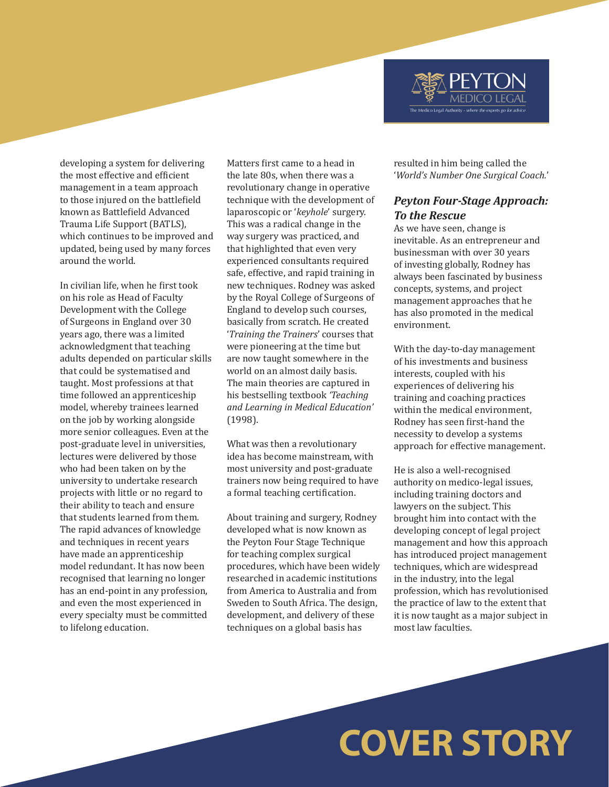developing a system for delivering the most effective and efficient management in a team approach to those injured on the battlefield known as Battlefield Advanced Trauma Life Support (BATLS), which continues to be improved and updated, being used by many forces around the world.

In civilian life, when he first took on his role as Head of Faculty Development with the College of Surgeons in England over 30 years ago, there was a limited acknowledgment that teaching adults depended on particular skills that could be systematised and taught. Most professions at that time followed an apprenticeship model, whereby trainees learned on the job by working alongside more senior colleagues. Even at the post-graduate level in universities, lectures were delivered by those who had been taken on by the university to undertake research projects with little or no regard to their ability to teach and ensure that students learned from them. The rapid advances of knowledge and techniques in recent years have made an apprenticeship model redundant. It has now been recognised that learning no longer has an end-point in any profession, and even the most experienced in every specialty must be committed to lifelong education.

Matters first came to a head in the late 80s, when there was a revolutionary change in operative technique with the development of laparoscopic or '*keyhole*' surgery. This was a radical change in the way surgery was practiced, and that highlighted that even very experienced consultants required safe, effective, and rapid training in new techniques. Rodney was asked by the Royal College of Surgeons of England to develop such courses, basically from scratch. He created '*Training the Trainers*' courses that were pioneering at the time but are now taught somewhere in the world on an almost daily basis. The main theories are captured in his bestselling textbook *'Teaching and Learning in Medical Education'* (1998).

What was then a revolutionary idea has become mainstream, with most university and post-graduate trainers now being required to have a formal teaching certification.

About training and surgery, Rodney developed what is now known as the Peyton Four Stage Technique for teaching complex surgical procedures, which have been widely researched in academic institutions from America to Australia and from Sweden to South Africa. The design, development, and delivery of these techniques on a global basis has

resulted in him being called the '*World's Number One Surgical Coach.*'

The Medico Legal Authority - whe

#### *Peyton Four-Stage Approach: To the Rescue*

As we have seen, change is inevitable. As an entrepreneur and businessman with over 30 years of investing globally, Rodney has always been fascinated by business concepts, systems, and project management approaches that he has also promoted in the medical environment.

With the day-to-day management of his investments and business interests, coupled with his experiences of delivering his training and coaching practices within the medical environment, Rodney has seen first-hand the necessity to develop a systems approach for effective management.

He is also a well-recognised authority on medico-legal issues, including training doctors and lawyers on the subject. This brought him into contact with the developing concept of legal project management and how this approach has introduced project management techniques, which are widespread in the industry, into the legal profession, which has revolutionised the practice of law to the extent that it is now taught as a major subject in most law faculties.

## **COVER STORY**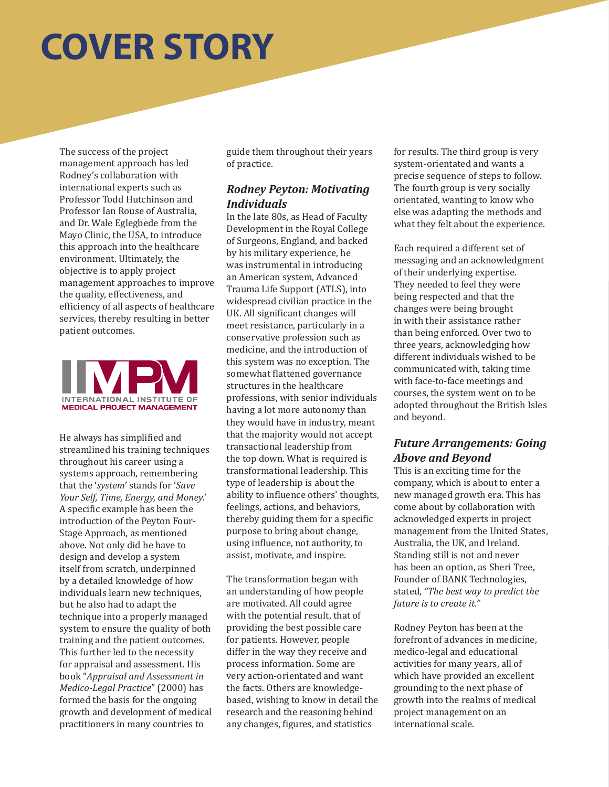# **COVER STORY**

The success of the project management approach has led Rodney's collaboration with international experts such as Professor Todd Hutchinson and Professor Ian Rouse of Australia, and Dr. Wale Eglegbede from the Mayo Clinic, the USA, to introduce this approach into the healthcare environment. Ultimately, the objective is to apply project management approaches to improve the quality, effectiveness, and efficiency of all aspects of healthcare services, thereby resulting in better patient outcomes.



He always has simplified and streamlined his training techniques throughout his career using a systems approach, remembering that the '*system*' stands for '*Save Your Self, Time, Energy, and Money*.' A specific example has been the introduction of the Peyton Four-Stage Approach, as mentioned above. Not only did he have to design and develop a system itself from scratch, underpinned by a detailed knowledge of how individuals learn new techniques, but he also had to adapt the technique into a properly managed system to ensure the quality of both training and the patient outcomes. This further led to the necessity for appraisal and assessment. His book "*Appraisal and Assessment in Medico-Legal Practice*" (2000) has formed the basis for the ongoing growth and development of medical practitioners in many countries to

guide them throughout their years of practice.

### *Rodney Peyton: Motivating Individuals*

In the late 80s, as Head of Faculty Development in the Royal College of Surgeons, England, and backed by his military experience, he was instrumental in introducing an American system, Advanced Trauma Life Support (ATLS), into widespread civilian practice in the UK. All significant changes will meet resistance, particularly in a conservative profession such as medicine, and the introduction of this system was no exception. The somewhat flattened governance structures in the healthcare professions, with senior individuals having a lot more autonomy than they would have in industry, meant that the majority would not accept transactional leadership from the top down. What is required is transformational leadership. This type of leadership is about the ability to influence others' thoughts, feelings, actions, and behaviors, thereby guiding them for a specific purpose to bring about change, using influence, not authority, to assist, motivate, and inspire.

The transformation began with an understanding of how people are motivated. All could agree with the potential result, that of providing the best possible care for patients. However, people differ in the way they receive and process information. Some are very action-orientated and want the facts. Others are knowledgebased, wishing to know in detail the research and the reasoning behind any changes, figures, and statistics

for results. The third group is very system-orientated and wants a precise sequence of steps to follow. The fourth group is very socially orientated, wanting to know who else was adapting the methods and what they felt about the experience.

Each required a different set of messaging and an acknowledgment of their underlying expertise. They needed to feel they were being respected and that the changes were being brought in with their assistance rather than being enforced. Over two to three years, acknowledging how different individuals wished to be communicated with, taking time with face-to-face meetings and courses, the system went on to be adopted throughout the British Isles and beyond.

### *Future Arrangements: Going Above and Beyond*

This is an exciting time for the company, which is about to enter a new managed growth era. This has come about by collaboration with acknowledged experts in project management from the United States, Australia, the UK, and Ireland. Standing still is not and never has been an option, as Sheri Tree, Founder of BANK Technologies, stated, *"The best way to predict the future is to create it."*

Rodney Peyton has been at the forefront of advances in medicine, medico-legal and educational activities for many years, all of which have provided an excellent grounding to the next phase of growth into the realms of medical project management on an international scale.